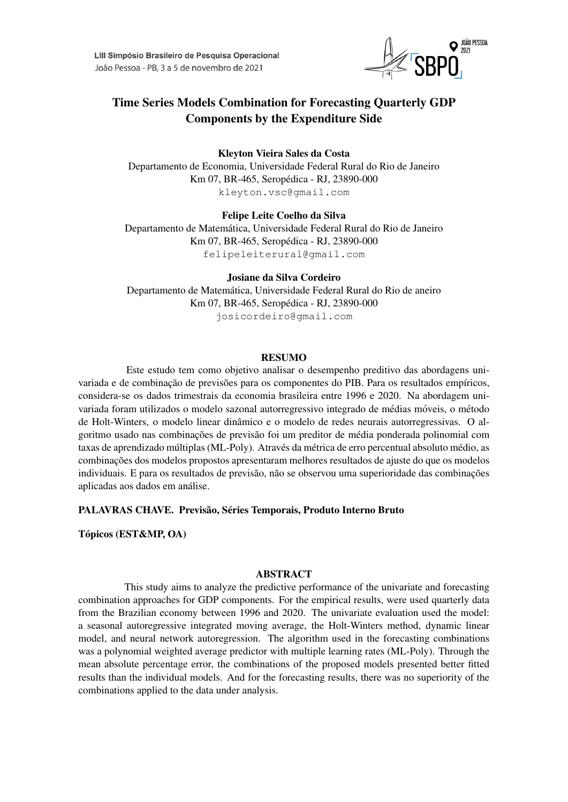

# Time Series Models Combination for Forecasting Quarterly GDP Components by the Expenditure Side

Kleyton Vieira Sales da Costa Departamento de Economia, Universidade Federal Rural do Rio de Janeiro Km 07, BR-465, Seropédica - RJ, 23890-000 kleyton.vsc@gmail.com

Felipe Leite Coelho da Silva

Departamento de Matematica, Universidade Federal Rural do Rio de Janeiro ´ Km 07, BR-465, Seropédica - RJ, 23890-000 felipeleiterural@gmail.com

Josiane da Silva Cordeiro Departamento de Matematica, Universidade Federal Rural do Rio de aneiro ´ Km 07, BR-465, Seropédica - RJ, 23890-000 josicordeiro@gmail.com

## RESUMO

Este estudo tem como objetivo analisar o desempenho preditivo das abordagens univariada e de combinação de previsões para os componentes do PIB. Para os resultados empíricos, considera-se os dados trimestrais da economia brasileira entre 1996 e 2020. Na abordagem univariada foram utilizados o modelo sazonal autorregressivo integrado de médias móveis, o método de Holt-Winters, o modelo linear dinamico e o modelo de redes neurais autorregressivas. O al- ˆ goritmo usado nas combinações de previsão foi um preditor de média ponderada polinomial com taxas de aprendizado múltiplas (ML-Poly). Através da métrica de erro percentual absoluto médio, as combinações dos modelos propostos apresentaram melhores resultados de ajuste do que os modelos individuais. E para os resultados de previsão, não se observou uma superioridade das combinações aplicadas aos dados em análise.

PALAVRAS CHAVE. Previsão, Séries Temporais, Produto Interno Bruto

Topicos (EST&MP, OA) ´

# ABSTRACT

This study aims to analyze the predictive performance of the univariate and forecasting combination approaches for GDP components. For the empirical results, were used quarterly data from the Brazilian economy between 1996 and 2020. The univariate evaluation used the model: a seasonal autoregressive integrated moving average, the Holt-Winters method, dynamic linear model, and neural network autoregression. The algorithm used in the forecasting combinations was a polynomial weighted average predictor with multiple learning rates (ML-Poly). Through the mean absolute percentage error, the combinations of the proposed models presented better fitted results than the individual models. And for the forecasting results, there was no superiority of the combinations applied to the data under analysis.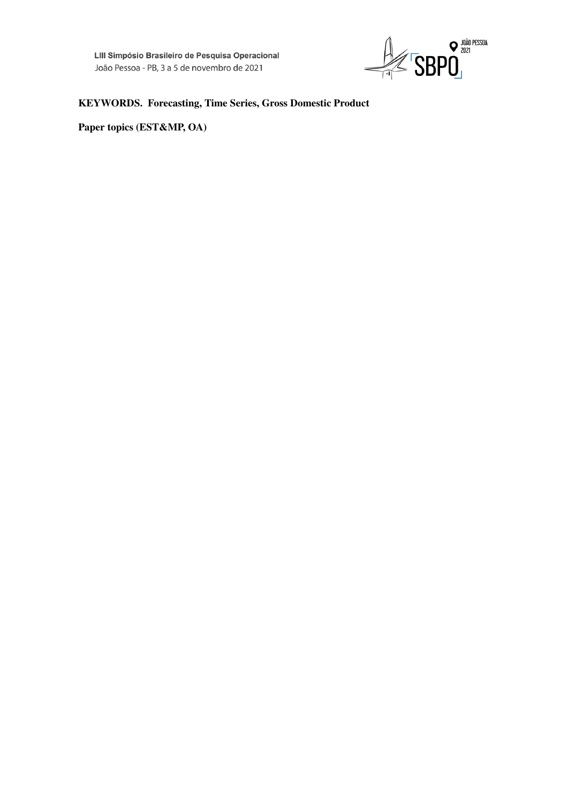

# KEYWORDS. Forecasting, Time Series, Gross Domestic Product

Paper topics (EST&MP, OA)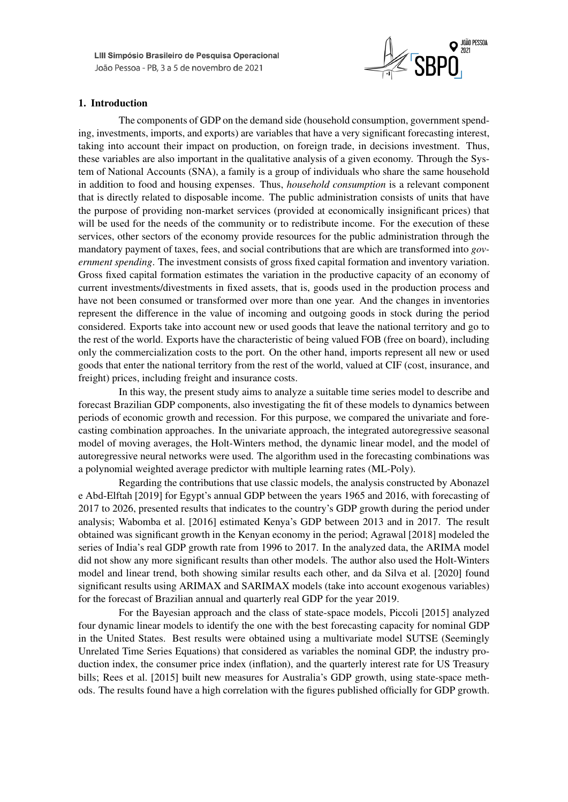

# 1. Introduction

The components of GDP on the demand side (household consumption, government spending, investments, imports, and exports) are variables that have a very significant forecasting interest, taking into account their impact on production, on foreign trade, in decisions investment. Thus, these variables are also important in the qualitative analysis of a given economy. Through the System of National Accounts (SNA), a family is a group of individuals who share the same household in addition to food and housing expenses. Thus, *household consumption* is a relevant component that is directly related to disposable income. The public administration consists of units that have the purpose of providing non-market services (provided at economically insignificant prices) that will be used for the needs of the community or to redistribute income. For the execution of these services, other sectors of the economy provide resources for the public administration through the mandatory payment of taxes, fees, and social contributions that are which are transformed into *government spending*. The investment consists of gross fixed capital formation and inventory variation. Gross fixed capital formation estimates the variation in the productive capacity of an economy of current investments/divestments in fixed assets, that is, goods used in the production process and have not been consumed or transformed over more than one year. And the changes in inventories represent the difference in the value of incoming and outgoing goods in stock during the period considered. Exports take into account new or used goods that leave the national territory and go to the rest of the world. Exports have the characteristic of being valued FOB (free on board), including only the commercialization costs to the port. On the other hand, imports represent all new or used goods that enter the national territory from the rest of the world, valued at CIF (cost, insurance, and freight) prices, including freight and insurance costs.

In this way, the present study aims to analyze a suitable time series model to describe and forecast Brazilian GDP components, also investigating the fit of these models to dynamics between periods of economic growth and recession. For this purpose, we compared the univariate and forecasting combination approaches. In the univariate approach, the integrated autoregressive seasonal model of moving averages, the Holt-Winters method, the dynamic linear model, and the model of autoregressive neural networks were used. The algorithm used in the forecasting combinations was a polynomial weighted average predictor with multiple learning rates (ML-Poly).

Regarding the contributions that use classic models, the analysis constructed by Abonazel e Abd-Elftah [2019] for Egypt's annual GDP between the years 1965 and 2016, with forecasting of 2017 to 2026, presented results that indicates to the country's GDP growth during the period under analysis; Wabomba et al. [2016] estimated Kenya's GDP between 2013 and in 2017. The result obtained was significant growth in the Kenyan economy in the period; Agrawal [2018] modeled the series of India's real GDP growth rate from 1996 to 2017. In the analyzed data, the ARIMA model did not show any more significant results than other models. The author also used the Holt-Winters model and linear trend, both showing similar results each other, and da Silva et al. [2020] found significant results using ARIMAX and SARIMAX models (take into account exogenous variables) for the forecast of Brazilian annual and quarterly real GDP for the year 2019.

For the Bayesian approach and the class of state-space models, Piccoli [2015] analyzed four dynamic linear models to identify the one with the best forecasting capacity for nominal GDP in the United States. Best results were obtained using a multivariate model SUTSE (Seemingly Unrelated Time Series Equations) that considered as variables the nominal GDP, the industry production index, the consumer price index (inflation), and the quarterly interest rate for US Treasury bills; Rees et al. [2015] built new measures for Australia's GDP growth, using state-space methods. The results found have a high correlation with the figures published officially for GDP growth.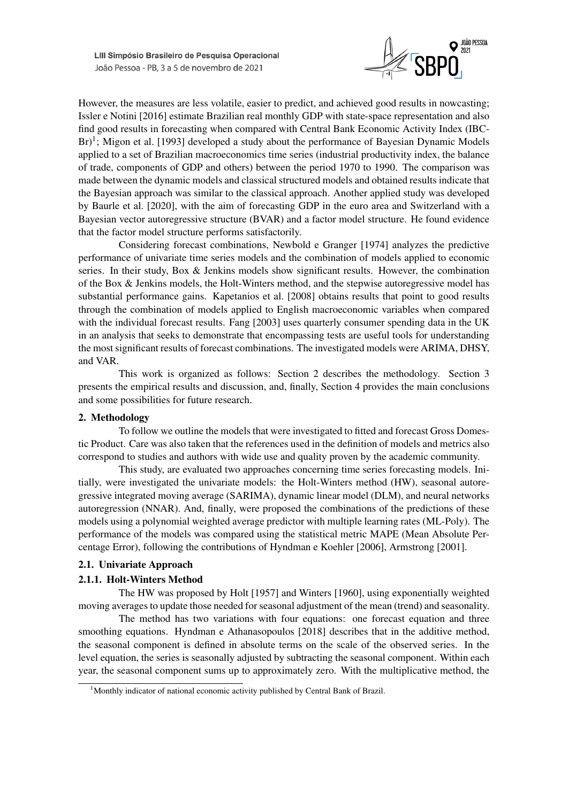

However, the measures are less volatile, easier to predict, and achieved good results in nowcasting; Issler e Notini [2016] estimate Brazilian real monthly GDP with state-space representation and also find good results in forecasting when compared with Central Bank Economic Activity Index (IBC-Br)<sup>1</sup>; Migon et al. [1993] developed a study about the performance of Bayesian Dynamic Models applied to a set of Brazilian macroeconomics time series (industrial productivity index, the balance of trade, components of GDP and others) between the period 1970 to 1990. The comparison was made between the dynamic models and classical structured models and obtained results indicate that the Bayesian approach was similar to the classical approach. Another applied study was developed by Baurle et al. [2020], with the aim of forecasting GDP in the euro area and Switzerland with a Bayesian vector autoregressive structure (BVAR) and a factor model structure. He found evidence that the factor model structure performs satisfactorily.

Considering forecast combinations, Newbold e Granger [1974] analyzes the predictive performance of univariate time series models and the combination of models applied to economic series. In their study, Box & Jenkins models show significant results. However, the combination of the Box & Jenkins models, the Holt-Winters method, and the stepwise autoregressive model has substantial performance gains. Kapetanios et al. [2008] obtains results that point to good results through the combination of models applied to English macroeconomic variables when compared with the individual forecast results. Fang [2003] uses quarterly consumer spending data in the UK in an analysis that seeks to demonstrate that encompassing tests are useful tools for understanding the most significant results of forecast combinations. The investigated models were ARIMA, DHSY, and VAR.

This work is organized as follows: Section 2 describes the methodology. Section 3 presents the empirical results and discussion, and, finally, Section 4 provides the main conclusions and some possibilities for future research.

# 2. Methodology

To follow we outline the models that were investigated to fitted and forecast Gross Domestic Product. Care was also taken that the references used in the definition of models and metrics also correspond to studies and authors with wide use and quality proven by the academic community.

This study, are evaluated two approaches concerning time series forecasting models. Initially, were investigated the univariate models: the Holt-Winters method (HW), seasonal autoregressive integrated moving average (SARIMA), dynamic linear model (DLM), and neural networks autoregression (NNAR). And, finally, were proposed the combinations of the predictions of these models using a polynomial weighted average predictor with multiple learning rates (ML-Poly). The performance of the models was compared using the statistical metric MAPE (Mean Absolute Percentage Error), following the contributions of Hyndman e Koehler [2006], Armstrong [2001].

## 2.1. Univariate Approach

## 2.1.1. Holt-Winters Method

The HW was proposed by Holt [1957] and Winters [1960], using exponentially weighted moving averages to update those needed for seasonal adjustment of the mean (trend) and seasonality.

The method has two variations with four equations: one forecast equation and three smoothing equations. Hyndman e Athanasopoulos [2018] describes that in the additive method, the seasonal component is defined in absolute terms on the scale of the observed series. In the level equation, the series is seasonally adjusted by subtracting the seasonal component. Within each year, the seasonal component sums up to approximately zero. With the multiplicative method, the

<sup>&</sup>lt;sup>1</sup>Monthly indicator of national economic activity published by Central Bank of Brazil.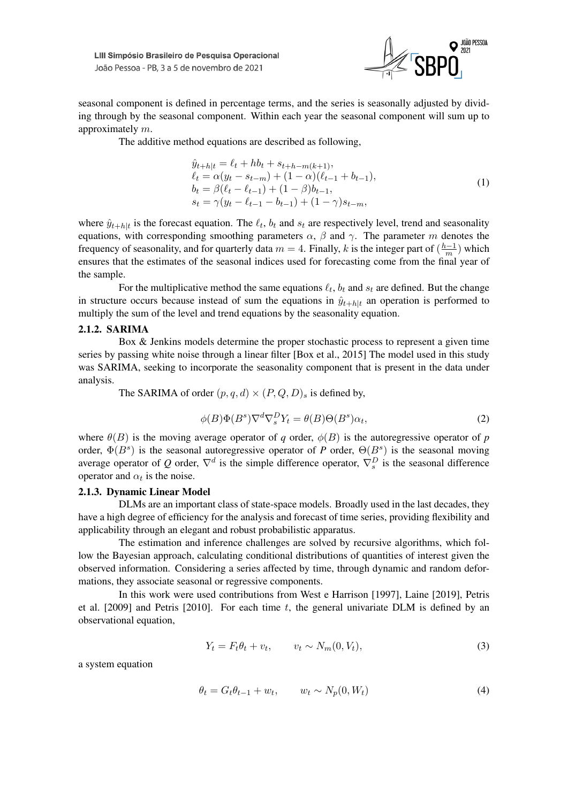

seasonal component is defined in percentage terms, and the series is seasonally adjusted by dividing through by the seasonal component. Within each year the seasonal component will sum up to approximately m.

The additive method equations are described as following,

$$
\hat{y}_{t+h|t} = \ell_t + hb_t + s_{t+h-m(k+1)},
$$
\n
$$
\ell_t = \alpha(y_t - s_{t-m}) + (1 - \alpha)(\ell_{t-1} + b_{t-1}),
$$
\n
$$
b_t = \beta(\ell_t - \ell_{t-1}) + (1 - \beta)b_{t-1},
$$
\n
$$
s_t = \gamma(y_t - \ell_{t-1} - b_{t-1}) + (1 - \gamma)s_{t-m},
$$
\n(1)

where  $\hat{y}_{t+h|t}$  is the forecast equation. The  $\ell_t$ ,  $b_t$  and  $s_t$  are respectively level, trend and seasonality equations, with corresponding smoothing parameters  $\alpha$ ,  $\beta$  and  $\gamma$ . The parameter m denotes the frequency of seasonality, and for quarterly data  $m = 4$ . Finally, k is the integer part of  $\left(\frac{h-1}{m}\right)$  $\frac{n-1}{m}$ ) which ensures that the estimates of the seasonal indices used for forecasting come from the final year of the sample.

For the multiplicative method the same equations  $\ell_t$ ,  $b_t$  and  $s_t$  are defined. But the change in structure occurs because instead of sum the equations in  $\hat{y}_{t+h|t}$  an operation is performed to multiply the sum of the level and trend equations by the seasonality equation.

#### 2.1.2. SARIMA

Box & Jenkins models determine the proper stochastic process to represent a given time series by passing white noise through a linear filter [Box et al., 2015] The model used in this study was SARIMA, seeking to incorporate the seasonality component that is present in the data under analysis.

The SARIMA of order  $(p, q, d) \times (P, Q, D)$ <sub>s</sub> is defined by,

$$
\phi(B)\Phi(B^s)\nabla^d\nabla_s^D Y_t = \theta(B)\Theta(B^s)\alpha_t,\tag{2}
$$

where  $\theta(B)$  is the moving average operator of *q* order,  $\phi(B)$  is the autoregressive operator of *p* order,  $\Phi(B^s)$  is the seasonal autoregressive operator of *P* order,  $\Theta(B^s)$  is the seasonal moving average operator of Q order,  $\nabla^d$  is the simple difference operator,  $\nabla_s^D$  is the seasonal difference operator and  $\alpha_t$  is the noise.

## 2.1.3. Dynamic Linear Model

DLMs are an important class of state-space models. Broadly used in the last decades, they have a high degree of efficiency for the analysis and forecast of time series, providing flexibility and applicability through an elegant and robust probabilistic apparatus.

The estimation and inference challenges are solved by recursive algorithms, which follow the Bayesian approach, calculating conditional distributions of quantities of interest given the observed information. Considering a series affected by time, through dynamic and random deformations, they associate seasonal or regressive components.

In this work were used contributions from West e Harrison [1997], Laine [2019], Petris et al.  $[2009]$  and Petris  $[2010]$ . For each time t, the general univariate DLM is defined by an observational equation,

$$
Y_t = F_t \theta_t + v_t, \qquad v_t \sim N_m(0, V_t), \tag{3}
$$

a system equation

$$
\theta_t = G_t \theta_{t-1} + w_t, \qquad w_t \sim N_p(0, W_t)
$$
\n
$$
\tag{4}
$$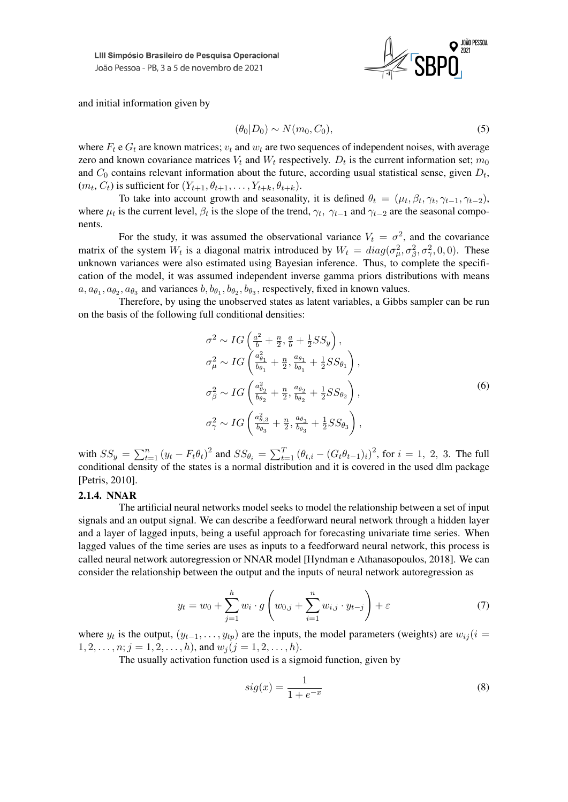

and initial information given by

$$
(\theta_0|D_0) \sim N(m_0, C_0),\tag{5}
$$

where  $F_t$  e  $G_t$  are known matrices;  $v_t$  and  $w_t$  are two sequences of independent noises, with average zero and known covariance matrices  $V_t$  and  $W_t$  respectively.  $D_t$  is the current information set;  $m_0$ and  $C_0$  contains relevant information about the future, according usual statistical sense, given  $D_t$ ,  $(m_t, C_t)$  is sufficient for  $(Y_{t+1}, \theta_{t+1}, \ldots, Y_{t+k}, \theta_{t+k}).$ 

To take into account growth and seasonality, it is defined  $\theta_t = (\mu_t, \beta_t, \gamma_t, \gamma_{t-1}, \gamma_{t-2}),$ where  $\mu_t$  is the current level,  $\beta_t$  is the slope of the trend,  $\gamma_t$ ,  $\gamma_{t-1}$  and  $\gamma_{t-2}$  are the seasonal components.

For the study, it was assumed the observational variance  $V_t = \sigma^2$ , and the covariance matrix of the system  $W_t$  is a diagonal matrix introduced by  $W_t = diag(\sigma_\mu^2, \sigma_\beta^2, \sigma_\gamma^2, 0, 0)$ . These unknown variances were also estimated using Bayesian inference. Thus, to complete the specification of the model, it was assumed independent inverse gamma priors distributions with means  $a, a_{\theta_1}, a_{\theta_2}, a_{\theta_3}$  and variances  $b, b_{\theta_1}, b_{\theta_2}, b_{\theta_3}$ , respectively, fixed in known values.

Therefore, by using the unobserved states as latent variables, a Gibbs sampler can be run on the basis of the following full conditional densities:

$$
\sigma^2 \sim IG\left(\frac{a^2}{b} + \frac{n}{2}, \frac{a}{b} + \frac{1}{2}SS_y\right),
$$
  
\n
$$
\sigma_{\mu}^2 \sim IG\left(\frac{a_{\theta_1}^2}{b_{\theta_1}} + \frac{n}{2}, \frac{a_{\theta_1}}{b_{\theta_1}} + \frac{1}{2}SS_{\theta_1}\right),
$$
  
\n
$$
\sigma_{\beta}^2 \sim IG\left(\frac{a_{\theta_2}^2}{b_{\theta_2}} + \frac{n}{2}, \frac{a_{\theta_2}}{b_{\theta_2}} + \frac{1}{2}SS_{\theta_2}\right),
$$
  
\n
$$
\sigma_{\gamma}^2 \sim IG\left(\frac{a_{\theta,3}^2}{b_{\theta_3}} + \frac{n}{2}, \frac{a_{\theta_3}}{b_{\theta_3}} + \frac{1}{2}SS_{\theta_3}\right),
$$
\n(6)

with  $SS_y = \sum_{t=1}^n (y_t - F_t \theta_t)^2$  and  $SS_{\theta_i} = \sum_{t=1}^T (\theta_{t,i} - (G_t \theta_{t-1})_i)^2$ , for  $i = 1, 2, 3$ . The full conditional density of the states is a normal distribution and it is covered in the used dlm package [Petris, 2010].

#### 2.1.4. NNAR

The artificial neural networks model seeks to model the relationship between a set of input signals and an output signal. We can describe a feedforward neural network through a hidden layer and a layer of lagged inputs, being a useful approach for forecasting univariate time series. When lagged values of the time series are uses as inputs to a feedforward neural network, this process is called neural network autoregression or NNAR model [Hyndman e Athanasopoulos, 2018]. We can consider the relationship between the output and the inputs of neural network autoregression as

$$
y_t = w_0 + \sum_{j=1}^h w_i \cdot g \left( w_{0,j} + \sum_{i=1}^n w_{i,j} \cdot y_{t-j} \right) + \varepsilon
$$
 (7)

where  $y_t$  is the output,  $(y_{t-1},...,y_{tp})$  are the inputs, the model parameters (weights) are  $w_{ij}$  (i =  $1, 2, \ldots, n; j = 1, 2, \ldots, h$ , and  $w_j (j = 1, 2, \ldots, h)$ .

The usually activation function used is a sigmoid function, given by

$$
sig(x) = \frac{1}{1 + e^{-x}}\tag{8}
$$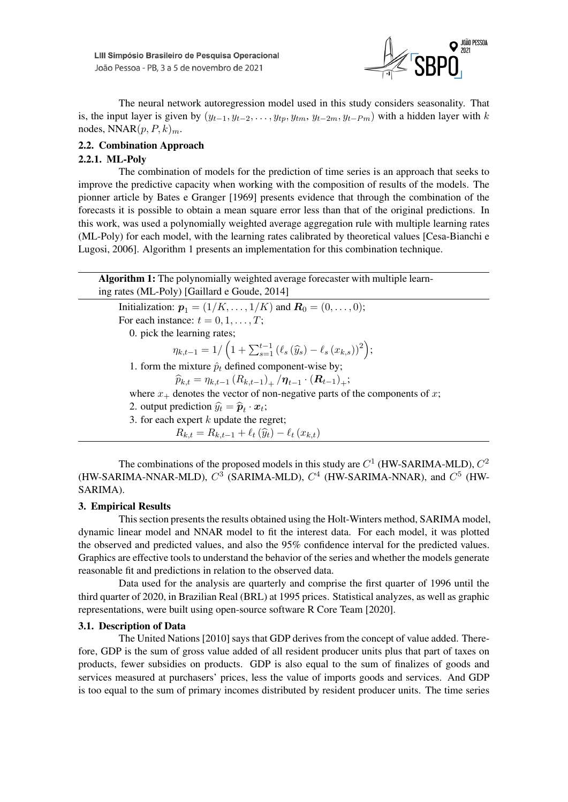

The neural network autoregression model used in this study considers seasonality. That is, the input layer is given by  $(y_{t-1}, y_{t-2}, \ldots, y_{tp}, y_{tm}, y_{t-2m}, y_{t-pm})$  with a hidden layer with k nodes,  $NNAR(p, P, k)<sub>m</sub>$ .

# 2.2. Combination Approach

# 2.2.1. ML-Poly

The combination of models for the prediction of time series is an approach that seeks to improve the predictive capacity when working with the composition of results of the models. The pionner article by Bates e Granger [1969] presents evidence that through the combination of the forecasts it is possible to obtain a mean square error less than that of the original predictions. In this work, was used a polynomially weighted average aggregation rule with multiple learning rates (ML-Poly) for each model, with the learning rates calibrated by theoretical values [Cesa-Bianchi e Lugosi, 2006]. Algorithm 1 presents an implementation for this combination technique.

| Algorithm 1: The polynomially weighted average forecaster with multiple learn-<br>ing rates (ML-Poly) [Gaillard e Goude, 2014] |
|--------------------------------------------------------------------------------------------------------------------------------|
| Initialization: $p_1 = (1/K, , 1/K)$ and $R_0 = (0, , 0)$ ;                                                                    |
| For each instance: $t = 0, 1, \ldots, T$ ;                                                                                     |
| 0. pick the learning rates;                                                                                                    |
| $\eta_{k,t-1} = 1/\left(1 + \sum_{s=1}^{t-1} (\ell_s(\widehat{y}_s) - \ell_s(x_{k,s}))^2\right);$                              |
| 1. form the mixture $\hat{p}_t$ defined component-wise by;                                                                     |
| $\widehat{p}_{k,t} = \eta_{k,t-1} (R_{k,t-1})_{+} / \eta_{t-1} \cdot (R_{t-1})_{+};$                                           |
| where $x_+$ denotes the vector of non-negative parts of the components of x;                                                   |
| 2. output prediction $\hat{y}_t = \hat{p}_t \cdot x_t$ ;                                                                       |
| 3. for each expert $k$ update the regret;                                                                                      |
| $R_{k,t} = R_{k,t-1} + \ell_t(\widehat{y}_t) - \ell_t(x_{k,t})$                                                                |

The combinations of the proposed models in this study are  $C^1$  (HW-SARIMA-MLD),  $C^2$ (HW-SARIMA-NNAR-MLD),  $C^3$  (SARIMA-MLD),  $C^4$  (HW-SARIMA-NNAR), and  $C^5$  (HW-SARIMA).

# 3. Empirical Results

This section presents the results obtained using the Holt-Winters method, SARIMA model, dynamic linear model and NNAR model to fit the interest data. For each model, it was plotted the observed and predicted values, and also the 95% confidence interval for the predicted values. Graphics are effective tools to understand the behavior of the series and whether the models generate reasonable fit and predictions in relation to the observed data.

Data used for the analysis are quarterly and comprise the first quarter of 1996 until the third quarter of 2020, in Brazilian Real (BRL) at 1995 prices. Statistical analyzes, as well as graphic representations, were built using open-source software R Core Team [2020].

## 3.1. Description of Data

The United Nations [2010] says that GDP derives from the concept of value added. Therefore, GDP is the sum of gross value added of all resident producer units plus that part of taxes on products, fewer subsidies on products. GDP is also equal to the sum of finalizes of goods and services measured at purchasers' prices, less the value of imports goods and services. And GDP is too equal to the sum of primary incomes distributed by resident producer units. The time series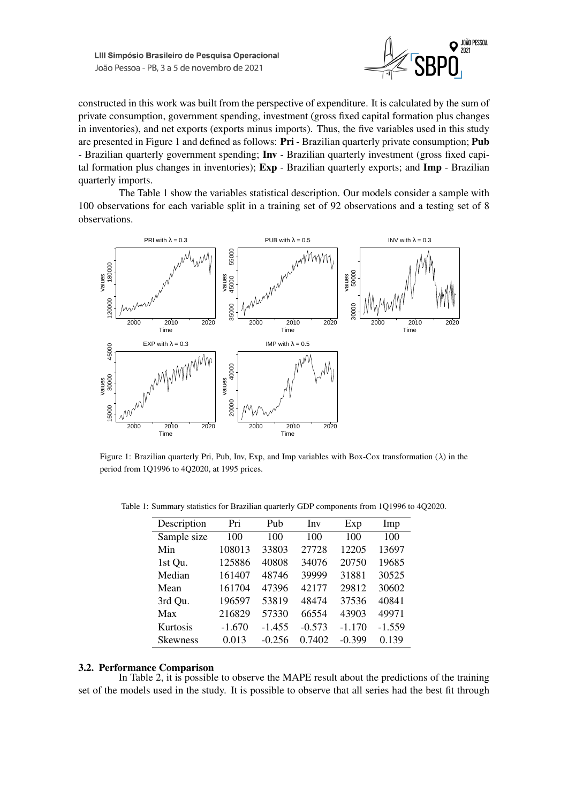

constructed in this work was built from the perspective of expenditure. It is calculated by the sum of private consumption, government spending, investment (gross fixed capital formation plus changes in inventories), and net exports (exports minus imports). Thus, the five variables used in this study are presented in Figure 1 and defined as follows: Pri - Brazilian quarterly private consumption; Pub - Brazilian quarterly government spending; Inv - Brazilian quarterly investment (gross fixed capital formation plus changes in inventories); Exp - Brazilian quarterly exports; and Imp - Brazilian quarterly imports.

The Table 1 show the variables statistical description. Our models consider a sample with 100 observations for each variable split in a training set of 92 observations and a testing set of 8 observations.



Figure 1: Brazilian quarterly Pri, Pub, Inv, Exp, and Imp variables with Box-Cox transformation (λ) in the period from 1Q1996 to 4Q2020, at 1995 prices.

| Description     | Pri      | Pub      | Inv      | Exp      | Imp      |
|-----------------|----------|----------|----------|----------|----------|
| Sample size     | 100      | 100      | 100      | 100      | 100      |
| Min             | 108013   | 33803    | 27728    | 12205    | 13697    |
| 1st Qu.         | 125886   | 40808    | 34076    | 20750    | 19685    |
| Median          | 161407   | 48746    | 39999    | 31881    | 30525    |
| Mean            | 161704   | 47396    | 42177    | 29812    | 30602    |
| 3rd Qu.         | 196597   | 53819    | 48474    | 37536    | 40841    |
| Max             | 216829   | 57330    | 66554    | 43903    | 49971    |
| Kurtosis        | $-1.670$ | $-1.455$ | $-0.573$ | $-1.170$ | $-1.559$ |
| <b>Skewness</b> | 0.013    | $-0.256$ | 0.7402   | $-0.399$ | 0.139    |

Table 1: Summary statistics for Brazilian quarterly GDP components from 1Q1996 to 4Q2020.

#### 3.2. Performance Comparison

In Table 2, it is possible to observe the MAPE result about the predictions of the training set of the models used in the study. It is possible to observe that all series had the best fit through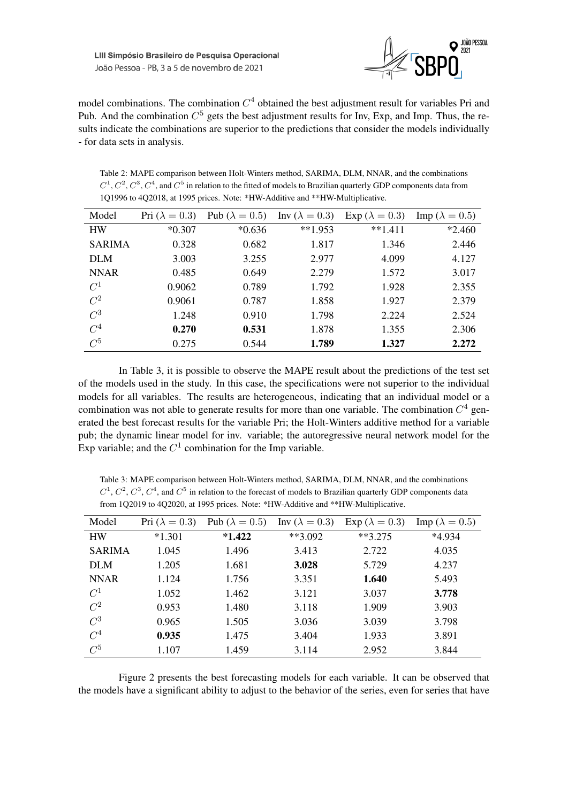

model combinations. The combination  $C<sup>4</sup>$  obtained the best adjustment result for variables Pri and Pub. And the combination  $C^5$  gets the best adjustment results for Inv, Exp, and Imp. Thus, the results indicate the combinations are superior to the predictions that consider the models individually - for data sets in analysis.

Table 2: MAPE comparison between Holt-Winters method, SARIMA, DLM, NNAR, and the combinations  $C^1$ ,  $C^2$ ,  $C^3$ ,  $C^4$ , and  $C^5$  in relation to the fitted of models to Brazilian quarterly GDP components data from 1Q1996 to 4Q2018, at 1995 prices. Note: \*HW-Additive and \*\*HW-Multiplicative.

| Model         | Pri $(\lambda = 0.3)$ | Pub ( $\lambda = 0.5$ ) | Inv ( $\lambda = 0.3$ ) | Exp ( $\lambda = 0.3$ ) | Imp ( $\lambda = 0.5$ ) |
|---------------|-----------------------|-------------------------|-------------------------|-------------------------|-------------------------|
| <b>HW</b>     | $*0.307$              | $*0.636$                | $**1.953$               | $**1.411$               | $*2.460$                |
| <b>SARIMA</b> | 0.328                 | 0.682                   | 1.817                   | 1.346                   | 2.446                   |
| <b>DLM</b>    | 3.003                 | 3.255                   | 2.977                   | 4.099                   | 4.127                   |
| <b>NNAR</b>   | 0.485                 | 0.649                   | 2.279                   | 1.572                   | 3.017                   |
| $C^1$         | 0.9062                | 0.789                   | 1.792                   | 1.928                   | 2.355                   |
| $C^2$         | 0.9061                | 0.787                   | 1.858                   | 1.927                   | 2.379                   |
| $C^3$         | 1.248                 | 0.910                   | 1.798                   | 2.224                   | 2.524                   |
| $C^4$         | 0.270                 | 0.531                   | 1.878                   | 1.355                   | 2.306                   |
| $C^5$         | 0.275                 | 0.544                   | 1.789                   | 1.327                   | 2.272                   |

In Table 3, it is possible to observe the MAPE result about the predictions of the test set of the models used in the study. In this case, the specifications were not superior to the individual models for all variables. The results are heterogeneous, indicating that an individual model or a combination was not able to generate results for more than one variable. The combination  $C^4$  generated the best forecast results for the variable Pri; the Holt-Winters additive method for a variable pub; the dynamic linear model for inv. variable; the autoregressive neural network model for the Exp variable; and the  $C^1$  combination for the Imp variable.

Table 3: MAPE comparison between Holt-Winters method, SARIMA, DLM, NNAR, and the combinations  $C^1$ ,  $C^2$ ,  $C^3$ ,  $C^4$ , and  $C^5$  in relation to the forecast of models to Brazilian quarterly GDP components data from 1Q2019 to 4Q2020, at 1995 prices. Note: \*HW-Additive and \*\*HW-Multiplicative.

| Model         | Pri $(\lambda = 0.3)$ | Pub ( $\lambda = 0.5$ ) | Inv ( $\lambda = 0.3$ ) | Exp ( $\lambda = 0.3$ ) | $\text{Imp}(\lambda = 0.5)$ |
|---------------|-----------------------|-------------------------|-------------------------|-------------------------|-----------------------------|
| <b>HW</b>     | $*1.301$              | $*1.422$                | **3.092                 | $**3.275$               | *4.934                      |
| <b>SARIMA</b> | 1.045                 | 1.496                   | 3.413                   | 2.722                   | 4.035                       |
| <b>DLM</b>    | 1.205                 | 1.681                   | 3.028                   | 5.729                   | 4.237                       |
| <b>NNAR</b>   | 1.124                 | 1.756                   | 3.351                   | 1.640                   | 5.493                       |
| $C^1$         | 1.052                 | 1.462                   | 3.121                   | 3.037                   | 3.778                       |
| $C^2$         | 0.953                 | 1.480                   | 3.118                   | 1.909                   | 3.903                       |
| $C^3$         | 0.965                 | 1.505                   | 3.036                   | 3.039                   | 3.798                       |
| $C^4$         | 0.935                 | 1.475                   | 3.404                   | 1.933                   | 3.891                       |
| $C^5$         | 1.107                 | 1.459                   | 3.114                   | 2.952                   | 3.844                       |

Figure 2 presents the best forecasting models for each variable. It can be observed that the models have a significant ability to adjust to the behavior of the series, even for series that have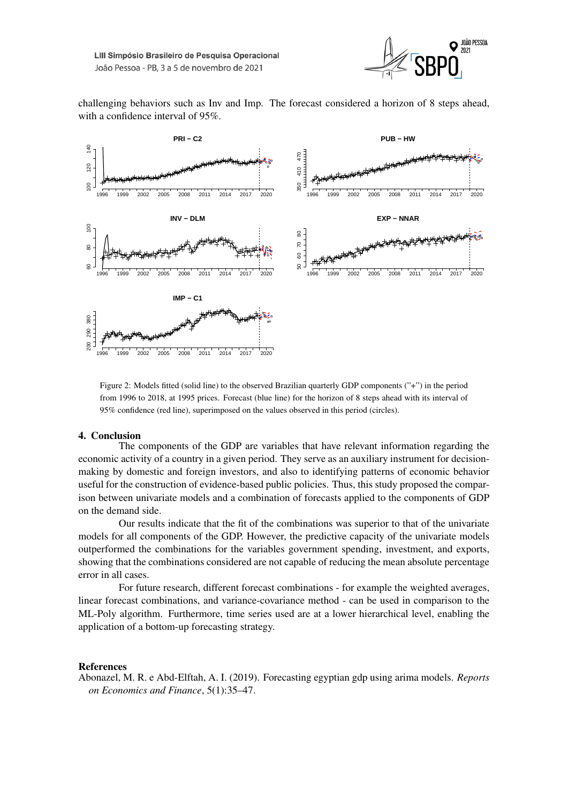

challenging behaviors such as Inv and Imp. The forecast considered a horizon of 8 steps ahead, with a confidence interval of 95%.



Figure 2: Models fitted (solid line) to the observed Brazilian quarterly GDP components ("+") in the period from 1996 to 2018, at 1995 prices. Forecast (blue line) for the horizon of 8 steps ahead with its interval of 95% confidence (red line), superimposed on the values observed in this period (circles).

#### 4. Conclusion

The components of the GDP are variables that have relevant information regarding the economic activity of a country in a given period. They serve as an auxiliary instrument for decisionmaking by domestic and foreign investors, and also to identifying patterns of economic behavior useful for the construction of evidence-based public policies. Thus, this study proposed the comparison between univariate models and a combination of forecasts applied to the components of GDP on the demand side.

Our results indicate that the fit of the combinations was superior to that of the univariate models for all components of the GDP. However, the predictive capacity of the univariate models outperformed the combinations for the variables government spending, investment, and exports, showing that the combinations considered are not capable of reducing the mean absolute percentage error in all cases.

For future research, different forecast combinations - for example the weighted averages, linear forecast combinations, and variance-covariance method - can be used in comparison to the ML-Poly algorithm. Furthermore, time series used are at a lower hierarchical level, enabling the application of a bottom-up forecasting strategy.

#### References

Abonazel, M. R. e Abd-Elftah, A. I. (2019). Forecasting egyptian gdp using arima models. *Reports on Economics and Finance*, 5(1):35–47.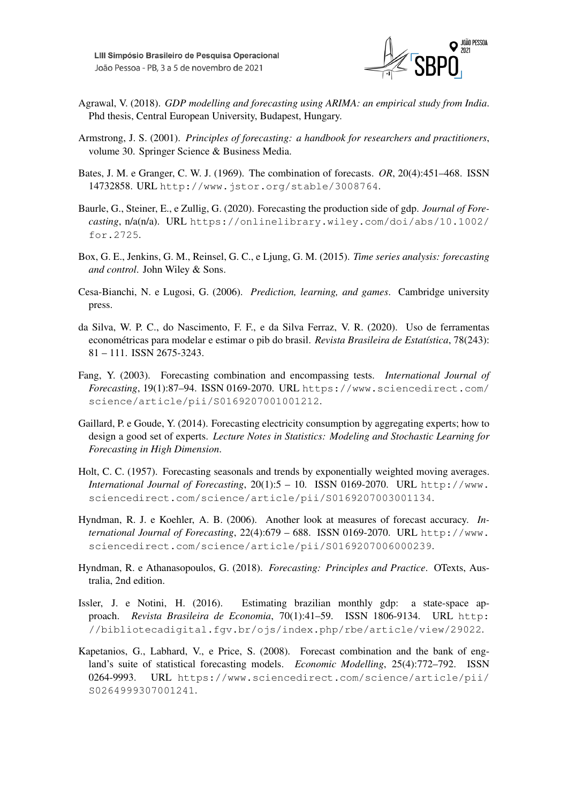

- Agrawal, V. (2018). *GDP modelling and forecasting using ARIMA: an empirical study from India*. Phd thesis, Central European University, Budapest, Hungary.
- Armstrong, J. S. (2001). *Principles of forecasting: a handbook for researchers and practitioners*, volume 30. Springer Science & Business Media.
- Bates, J. M. e Granger, C. W. J. (1969). The combination of forecasts. *OR*, 20(4):451–468. ISSN 14732858. URL http://www.jstor.org/stable/3008764.
- Baurle, G., Steiner, E., e Zullig, G. (2020). Forecasting the production side of gdp. *Journal of Forecasting*, n/a(n/a). URL https://onlinelibrary.wiley.com/doi/abs/10.1002/ for.2725.
- Box, G. E., Jenkins, G. M., Reinsel, G. C., e Ljung, G. M. (2015). *Time series analysis: forecasting and control*. John Wiley & Sons.
- Cesa-Bianchi, N. e Lugosi, G. (2006). *Prediction, learning, and games*. Cambridge university press.
- da Silva, W. P. C., do Nascimento, F. F., e da Silva Ferraz, V. R. (2020). Uso de ferramentas econométricas para modelar e estimar o pib do brasil. *Revista Brasileira de Estatística*, 78(243): 81 – 111. ISSN 2675-3243.
- Fang, Y. (2003). Forecasting combination and encompassing tests. *International Journal of Forecasting*, 19(1):87–94. ISSN 0169-2070. URL https://www.sciencedirect.com/ science/article/pii/S0169207001001212.
- Gaillard, P. e Goude, Y. (2014). Forecasting electricity consumption by aggregating experts; how to design a good set of experts. *Lecture Notes in Statistics: Modeling and Stochastic Learning for Forecasting in High Dimension*.
- Holt, C. C. (1957). Forecasting seasonals and trends by exponentially weighted moving averages. *International Journal of Forecasting*, 20(1):5 – 10. ISSN 0169-2070. URL http://www. sciencedirect.com/science/article/pii/S0169207003001134.
- Hyndman, R. J. e Koehler, A. B. (2006). Another look at measures of forecast accuracy. *International Journal of Forecasting*, 22(4):679 – 688. ISSN 0169-2070. URL http://www. sciencedirect.com/science/article/pii/S0169207006000239.
- Hyndman, R. e Athanasopoulos, G. (2018). *Forecasting: Principles and Practice*. OTexts, Australia, 2nd edition.
- Issler, J. e Notini, H. (2016). Estimating brazilian monthly gdp: a state-space approach. *Revista Brasileira de Economia*, 70(1):41–59. ISSN 1806-9134. URL http: //bibliotecadigital.fgv.br/ojs/index.php/rbe/article/view/29022.
- Kapetanios, G., Labhard, V., e Price, S. (2008). Forecast combination and the bank of england's suite of statistical forecasting models. *Economic Modelling*, 25(4):772–792. ISSN 0264-9993. URL https://www.sciencedirect.com/science/article/pii/ S0264999307001241.